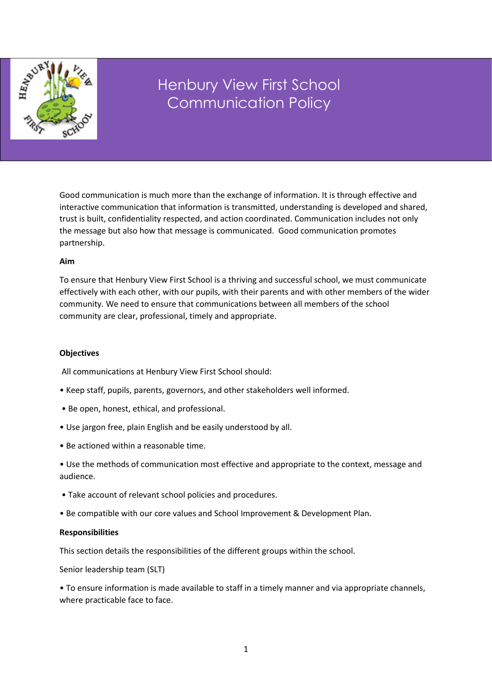

# Henbury View First School Communication Policy

Good communication is much more than the exchange of information. It is through effective and interactive communication that information is transmitted, understanding is developed and shared, trust is built, confidentiality respected, and action coordinated. Communication includes not only the message but also how that message is communicated. Good communication promotes partnership.

## **Aim**

**Introduction** 

To ensure that Henbury View First School is a thriving and successful school, we must communicate effectively with each other, with our pupils, with their parents and with other members of the wider community. We need to ensure that communications between all members of the school community are clear, professional, timely and appropriate.

# **Objectives**

All communications at Henbury View First School should:

- Keep staff, pupils, parents, governors, and other stakeholders well informed.
- Be open, honest, ethical, and professional.
- Use jargon free, plain English and be easily understood by all.
- Be actioned within a reasonable time.
- Use the methods of communication most effective and appropriate to the context, message and audience.
- Take account of relevant school policies and procedures.
- Be compatible with our core values and School Improvement & Development Plan.

#### **Responsibilities**

This section details the responsibilities of the different groups within the school.

Senior leadership team (SLT)

• To ensure information is made available to staff in a timely manner and via appropriate channels, where practicable face to face.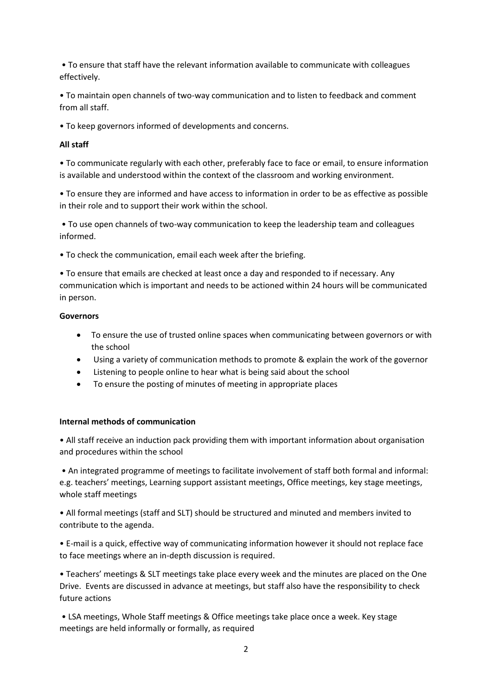• To ensure that staff have the relevant information available to communicate with colleagues effectively.

• To maintain open channels of two-way communication and to listen to feedback and comment from all staff.

• To keep governors informed of developments and concerns.

## **All staff**

• To communicate regularly with each other, preferably face to face or email, to ensure information is available and understood within the context of the classroom and working environment.

• To ensure they are informed and have access to information in order to be as effective as possible in their role and to support their work within the school.

• To use open channels of two-way communication to keep the leadership team and colleagues informed.

• To check the communication, email each week after the briefing.

• To ensure that emails are checked at least once a day and responded to if necessary. Any communication which is important and needs to be actioned within 24 hours will be communicated in person.

## **Governors**

- To ensure the use of trusted online spaces when communicating between governors or with the school
- Using a variety of communication methods to promote & explain the work of the governor
- Listening to people online to hear what is being said about the school
- To ensure the posting of minutes of meeting in appropriate places

# **Internal methods of communication**

• All staff receive an induction pack providing them with important information about organisation and procedures within the school

• An integrated programme of meetings to facilitate involvement of staff both formal and informal: e.g. teachers' meetings, Learning support assistant meetings, Office meetings, key stage meetings, whole staff meetings

• All formal meetings (staff and SLT) should be structured and minuted and members invited to contribute to the agenda.

• E-mail is a quick, effective way of communicating information however it should not replace face to face meetings where an in-depth discussion is required.

• Teachers' meetings & SLT meetings take place every week and the minutes are placed on the One Drive. Events are discussed in advance at meetings, but staff also have the responsibility to check future actions

• LSA meetings, Whole Staff meetings & Office meetings take place once a week. Key stage meetings are held informally or formally, as required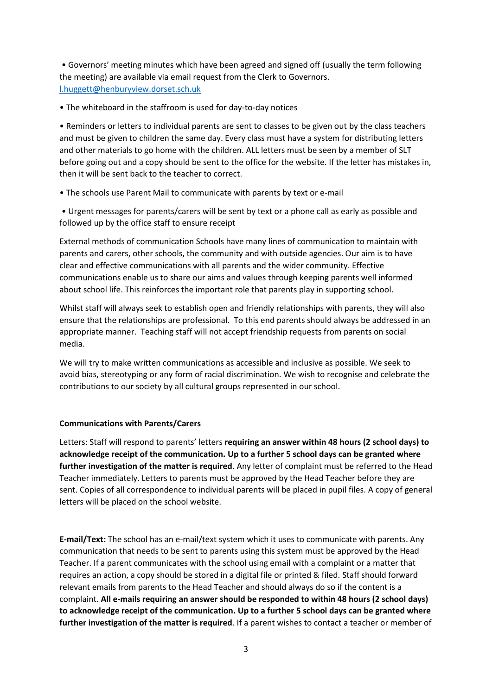• Governors' meeting minutes which have been agreed and signed off (usually the term following the meeting) are available via email request from the Clerk to Governors. [l.huggett@henburyview.dorset.sch.uk](mailto:l.huggett@henburyview.dorset.sch.uk)

• The whiteboard in the staffroom is used for day-to-day notices

• Reminders or letters to individual parents are sent to classes to be given out by the class teachers and must be given to children the same day. Every class must have a system for distributing letters and other materials to go home with the children. ALL letters must be seen by a member of SLT before going out and a copy should be sent to the office for the website. If the letter has mistakes in, then it will be sent back to the teacher to correct.

• The schools use Parent Mail to communicate with parents by text or e-mail

• Urgent messages for parents/carers will be sent by text or a phone call as early as possible and followed up by the office staff to ensure receipt

External methods of communication Schools have many lines of communication to maintain with parents and carers, other schools, the community and with outside agencies. Our aim is to have clear and effective communications with all parents and the wider community. Effective communications enable us to share our aims and values through keeping parents well informed about school life. This reinforces the important role that parents play in supporting school.

Whilst staff will always seek to establish open and friendly relationships with parents, they will also ensure that the relationships are professional. To this end parents should always be addressed in an appropriate manner. Teaching staff will not accept friendship requests from parents on social media.

We will try to make written communications as accessible and inclusive as possible. We seek to avoid bias, stereotyping or any form of racial discrimination. We wish to recognise and celebrate the contributions to our society by all cultural groups represented in our school.

#### **Communications with Parents/Carers**

Letters: Staff will respond to parents' letters **requiring an answer within 48 hours (2 school days) to acknowledge receipt of the communication. Up to a further 5 school days can be granted where further investigation of the matter is required**. Any letter of complaint must be referred to the Head Teacher immediately. Letters to parents must be approved by the Head Teacher before they are sent. Copies of all correspondence to individual parents will be placed in pupil files. A copy of general letters will be placed on the school website.

**E-mail/Text:** The school has an e-mail/text system which it uses to communicate with parents. Any communication that needs to be sent to parents using this system must be approved by the Head Teacher. If a parent communicates with the school using email with a complaint or a matter that requires an action, a copy should be stored in a digital file or printed & filed. Staff should forward relevant emails from parents to the Head Teacher and should always do so if the content is a complaint. **All e-mails requiring an answer should be responded to within 48 hours (2 school days) to acknowledge receipt of the communication. Up to a further 5 school days can be granted where further investigation of the matter is required**. If a parent wishes to contact a teacher or member of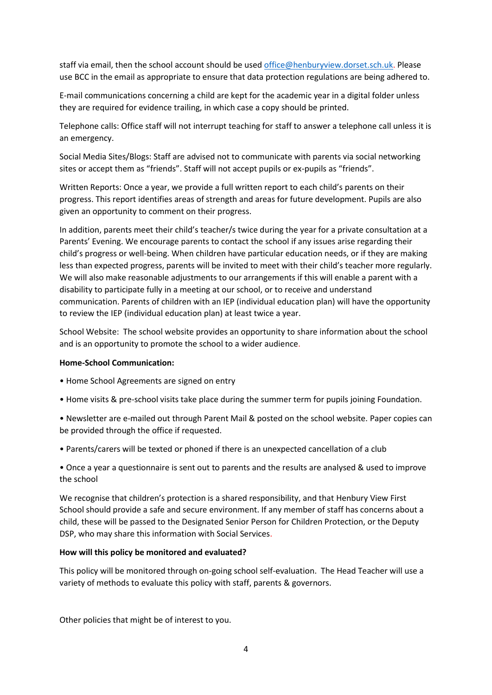staff via email, then the school account should be use[d office@henburyview.dorset.sch.uk.](mailto:office@henburyview.dorset.sch.uk) Please use BCC in the email as appropriate to ensure that data protection regulations are being adhered to.

E-mail communications concerning a child are kept for the academic year in a digital folder unless they are required for evidence trailing, in which case a copy should be printed.

Telephone calls: Office staff will not interrupt teaching for staff to answer a telephone call unless it is an emergency.

Social Media Sites/Blogs: Staff are advised not to communicate with parents via social networking sites or accept them as "friends". Staff will not accept pupils or ex-pupils as "friends".

Written Reports: Once a year, we provide a full written report to each child's parents on their progress. This report identifies areas of strength and areas for future development. Pupils are also given an opportunity to comment on their progress.

In addition, parents meet their child's teacher/s twice during the year for a private consultation at a Parents' Evening. We encourage parents to contact the school if any issues arise regarding their child's progress or well-being. When children have particular education needs, or if they are making less than expected progress, parents will be invited to meet with their child's teacher more regularly. We will also make reasonable adjustments to our arrangements if this will enable a parent with a disability to participate fully in a meeting at our school, or to receive and understand communication. Parents of children with an IEP (individual education plan) will have the opportunity to review the IEP (individual education plan) at least twice a year.

School Website: The school website provides an opportunity to share information about the school and is an opportunity to promote the school to a wider audience.

#### **Home-School Communication:**

- Home School Agreements are signed on entry
- Home visits & pre-school visits take place during the summer term for pupils joining Foundation.
- Newsletter are e-mailed out through Parent Mail & posted on the school website. Paper copies can be provided through the office if requested.
- Parents/carers will be texted or phoned if there is an unexpected cancellation of a club

• Once a year a questionnaire is sent out to parents and the results are analysed & used to improve the school

We recognise that children's protection is a shared responsibility, and that Henbury View First School should provide a safe and secure environment. If any member of staff has concerns about a child, these will be passed to the Designated Senior Person for Children Protection, or the Deputy DSP, who may share this information with Social Services.

#### **How will this policy be monitored and evaluated?**

This policy will be monitored through on-going school self-evaluation. The Head Teacher will use a variety of methods to evaluate this policy with staff, parents & governors.

Other policies that might be of interest to you.